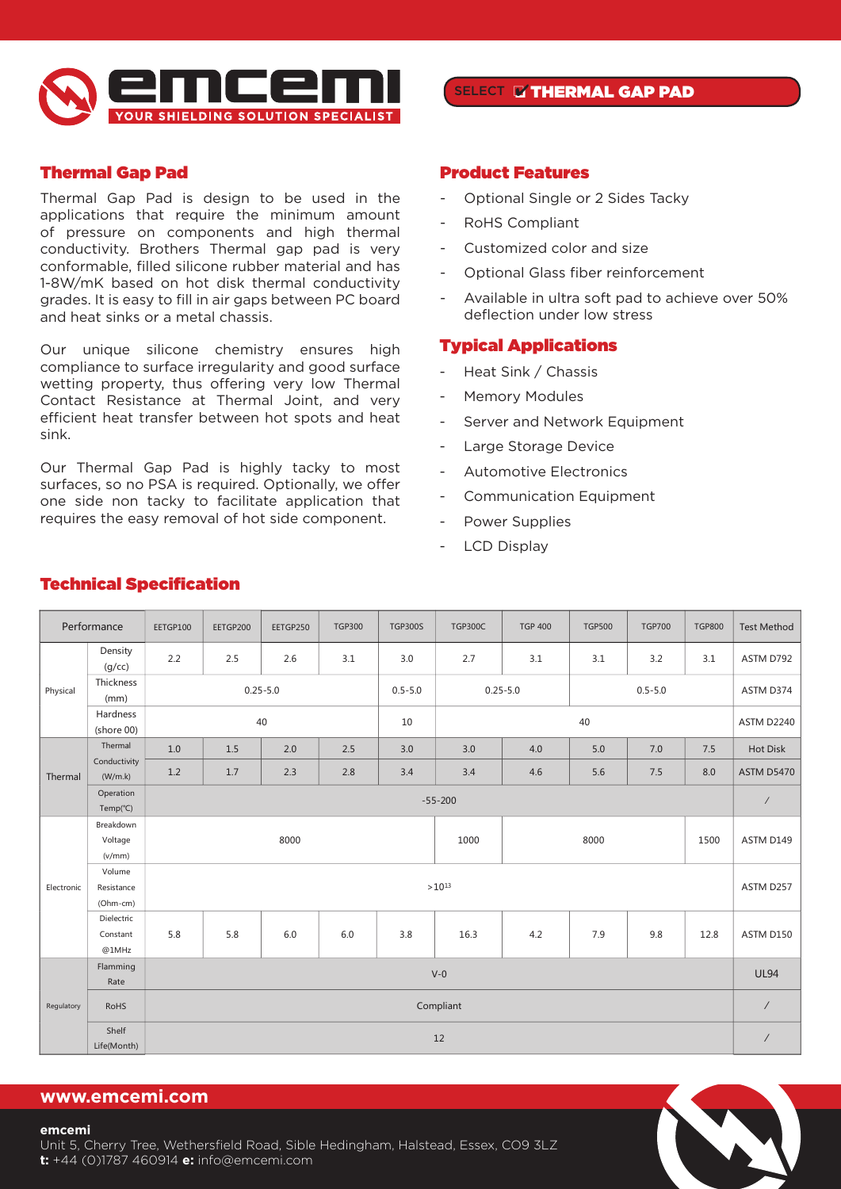

# Thermal Gap Pad

Thermal Gap Pad is design to be used in the applications that require the minimum amount of pressure on components and high thermal conductivity. Brothers Thermal gap pad is very conformable, filled silicone rubber material and has 1-8W/mK based on hot disk thermal conductivity grades. It is easy to fill in air gaps between PC board and heat sinks or a metal chassis.

Our unique silicone chemistry ensures high compliance to surface irregularity and good surface wetting property, thus offering very low Thermal Contact Resistance at Thermal Joint, and very efficient heat transfer between hot spots and heat sink.

Our Thermal Gap Pad is highly tacky to most surfaces, so no PSA is required. Optionally, we offer one side non tacky to facilitate application that requires the easy removal of hot side component.

## SELECT THERMAL GAP PAD

### Product Features

- Optional Single or 2 Sides Tacky
- RoHS Compliant
- Customized color and size
- Optional Glass fiber reinforcement
- Available in ultra soft pad to achieve over 50% deflection under low stress

## Typical Applications

- Heat Sink / Chassis
- Memory Modules
- Server and Network Equipment
- Large Storage Device
- Automotive Electronics
- Communication Equipment
- Power Supplies
- LCD Display

|            | Performance                      | EETGP100     | EETGP200 | EETGP250 | <b>TGP300</b> | <b>TGP300S</b> | <b>TGP300C</b>              | <b>TGP 400</b> | <b>TGP500</b> | <b>TGP700</b>                                   | <b>TGP800</b>        | <b>Test Method</b> |
|------------|----------------------------------|--------------|----------|----------|---------------|----------------|-----------------------------|----------------|---------------|-------------------------------------------------|----------------------|--------------------|
|            | Density<br>(g/cc)                | 2.2          | 2.5      | 2.6      | 3.1           | 3.0            | 2.7                         | 3.1            | 3.1           | 3.2                                             | 3.1                  | ASTM D792          |
| Physical   | Thickness<br>(mm)                | $0.25 - 5.0$ |          |          |               | $0.5 - 5.0$    | $0.5 - 5.0$<br>$0.25 - 5.0$ |                |               |                                                 | ASTM D374            |                    |
|            | Hardness<br>(shore 00)           |              |          | 40       |               | 10             |                             |                | 40            | 7.0<br>7.5<br>8.0<br>7.5<br>1500<br>9.8<br>12.8 | <b>ASTM D2240</b>    |                    |
|            | Thermal                          | 1.0          | 1.5      | 2.0      | 2.5           | 3.0            | 3.0                         | 4.0            | 5.0           |                                                 |                      | Hot Disk           |
| Thermal    | Conductivity<br>(W/m.k)          | 1.2          | 1.7      | 2.3      | 2.8           | 3.4            | 3.4                         | 4.6            | 5.6           |                                                 |                      | <b>ASTM D5470</b>  |
|            | Operation<br>Temp(°C)            | $-55 - 200$  |          |          |               |                |                             |                |               | $\prime$                                        |                      |                    |
|            | Breakdown<br>Voltage<br>(v/mm)   |              |          | 8000     |               |                | 1000                        | 8000           |               |                                                 |                      | ASTM D149          |
| Electronic | Volume<br>Resistance<br>(Ohm-cm) |              |          |          |               | $>10^{13}$     |                             |                |               |                                                 |                      | ASTM D257          |
|            | Dielectric<br>Constant<br>@1MHz  | 5.8          | 5.8      | 6.0      | 6.0           | 3.8            | 16.3                        | 4.2            | 7.9           |                                                 |                      | ASTM D150          |
|            | Flamming<br>Rate                 | $V-0$        |          |          |               |                |                             |                |               |                                                 | <b>UL94</b>          |                    |
| Regulatory | <b>RoHS</b>                      | Compliant    |          |          |               |                |                             |                |               |                                                 | $\sqrt{\phantom{a}}$ |                    |
|            | Shelf<br>Life(Month)             | 12           |          |          |               |                |                             |                |               | $\sqrt{\phantom{a}}$                            |                      |                    |

# Technical Specification **Technical Specification**

## **www.emcemi.com**

#### **emcemi**

Unit 5, Cherry Tree, Wethersfield Road, Sible Hedingham, Halstead, Essex, CO9 3LZ **t:** +44 (0)1787 460914 **e:** info@emcemi.com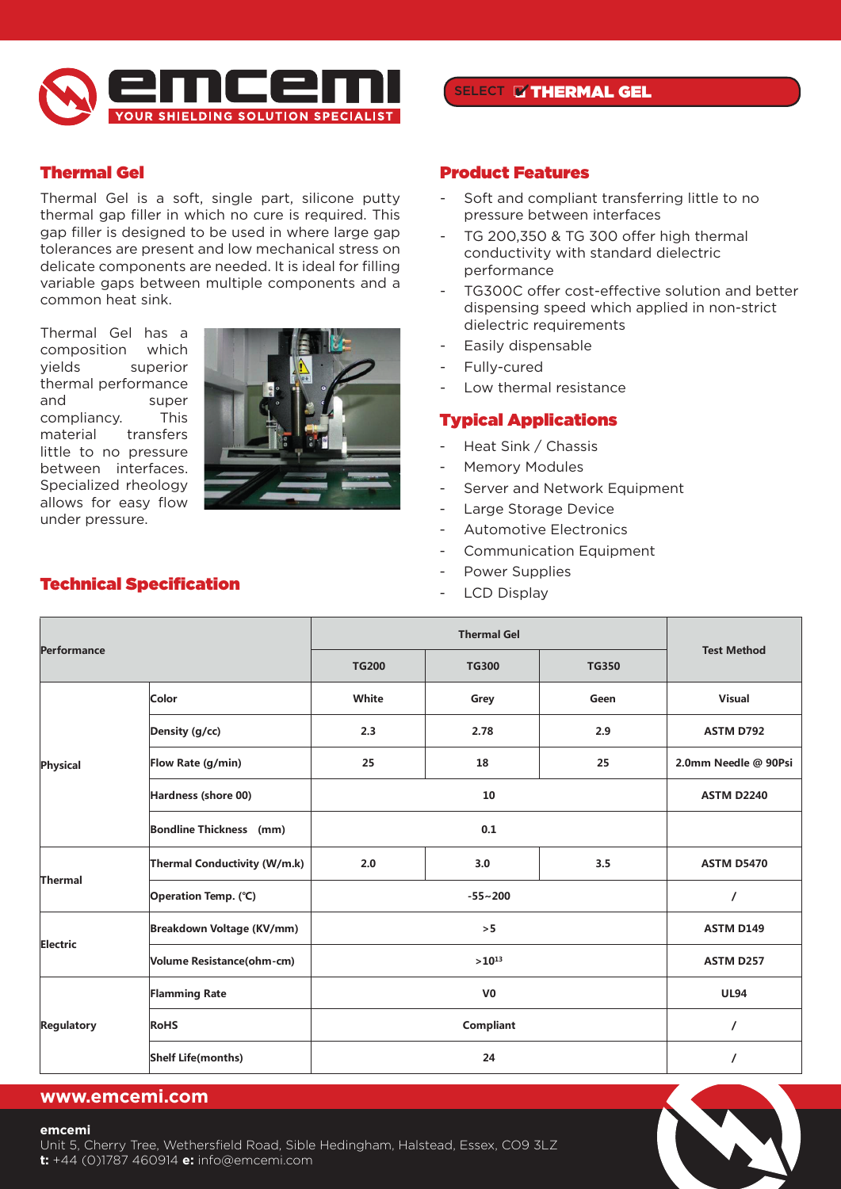

# Thermal Gel

Thermal Gel is a soft, single part, silicone putty thermal gap filler in which no cure is required. This gap filler is designed to be used in where large gap tolerances are present and low mechanical stress on delicate components are needed. It is ideal for filling variable gaps between multiple components and a common heat sink.

Thermal Gel has a composition which yields superior thermal performance and super compliancy. This material transfers little to no pressure between interfaces. Specialized rheology allows for easy flow under pressure.



# SELECT THERMAL GEL

## Product Features

- Soft and compliant transferring little to no pressure between interfaces
- TG 200,350 & TG 300 offer high thermal conductivity with standard dielectric performance
- TG300C offer cost-effective solution and better dispensing speed which applied in non-strict dielectric requirements
- Easily dispensable
- Fully-cured  $T = \text{Fullv-curred}$
- Low thermal resistance<br>
are presented. It is ideal for filling variable gaps between the needed. It is in the needed. It is in the needed. It is in the needed. It is in the needed. It is in the needed. It is in the neede

## Typical Applications

- Heat Sink / Chassis Brothers's Thermal Gel has a composition which yields superior thermal performance and super compliancy. This material transfers little
- Memory Modules
	- Server and Network Equipment
	- Large Storage Device
	- Automotive Electronics
	- Communication Equipment
	- Power Supplies
- LCD Display **Product Features Typical Applications**

| <b>Performance</b> |                                | <b>TG200</b><br><b>TG350</b><br><b>TG300</b> |                  |      | <b>Test Method</b>   |  |
|--------------------|--------------------------------|----------------------------------------------|------------------|------|----------------------|--|
|                    | Color                          | White                                        | Grey             | Geen | Visual               |  |
|                    | Density (g/cc)                 | 2.3                                          | 2.78             | 2.9  | <b>ASTM D792</b>     |  |
| Physical           | Flow Rate (g/min)              | 25                                           | 18               | 25   | 2.0mm Needle @ 90Psi |  |
|                    | Hardness (shore 00)            | <b>ASTM D2240</b>                            |                  |      |                      |  |
|                    | <b>Bondline Thickness</b> (mm) |                                              |                  |      |                      |  |
|                    | Thermal Conductivity (W/m.k)   | 2.0                                          | 3.0              | 3.5  | <b>ASTM D5470</b>    |  |
| Thermal            | Operation Temp. (°C)           |                                              |                  |      |                      |  |
|                    | Breakdown Voltage (KV/mm)      |                                              | <b>ASTM D149</b> |      |                      |  |
| <b>Electric</b>    | Volume Resistance(ohm-cm)      |                                              | <b>ASTM D257</b> |      |                      |  |
|                    | <b>Flamming Rate</b>           |                                              | <b>UL94</b>      |      |                      |  |
| <b>Regulatory</b>  | <b>RoHS</b>                    |                                              |                  |      |                      |  |
|                    | <b>Shelf Life(months)</b>      |                                              |                  |      |                      |  |

## **www.emcemi.com**

#### **emcemi**

Unit 5, Cherry Tree, Wethersfield Road, Sible Hedingham, Halstead, Essex, CO9 3LZ **t:** +44 (0)1787 460914 **e:** info@emcemi.com

### Technical Specification **Technical Specification**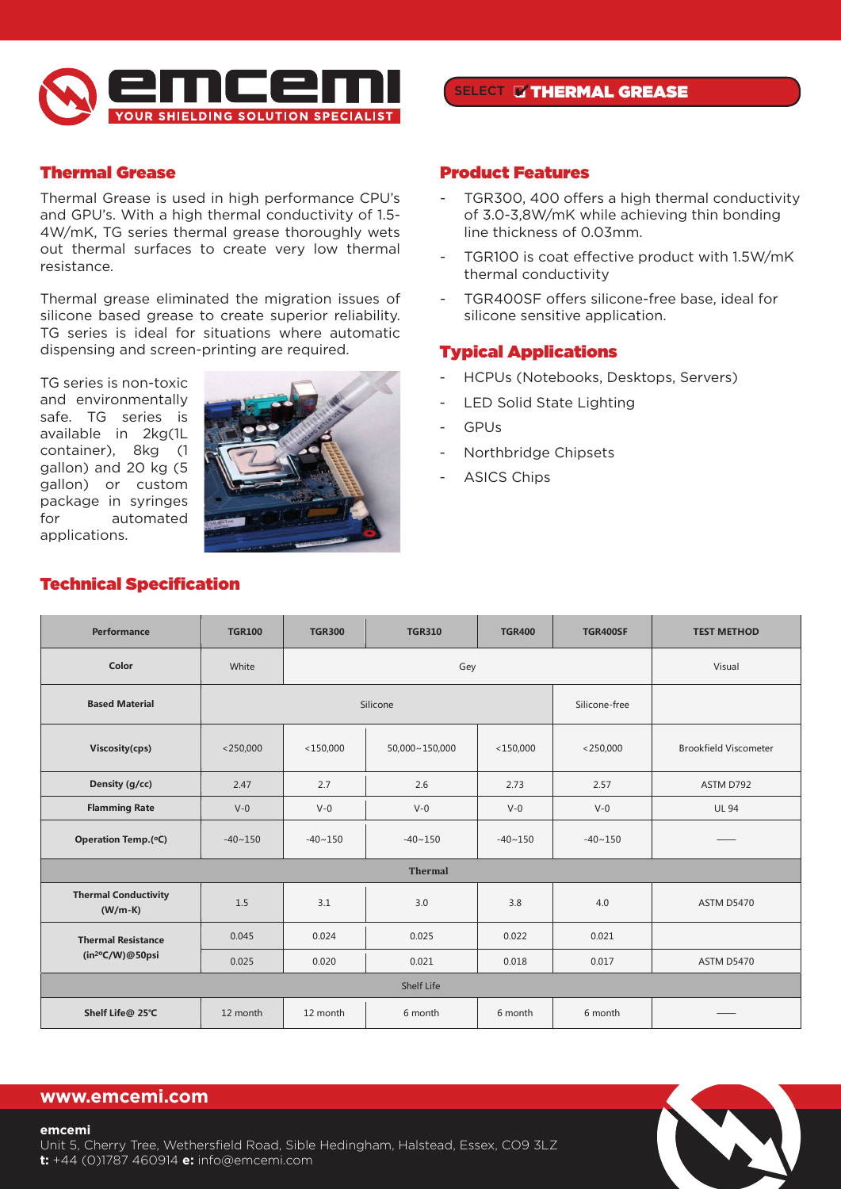

# Thermal Grease

Thermal Grease is used in high performance CPU's and GPU's. With a high thermal conductivity of 1.5- 4W/mK, TG series thermal grease thoroughly wets out thermal surfaces to create very low thermal resistance.

Thermal grease eliminated the migration issues of silicone based grease to create superior reliability. sincorie based grease to create superior renability.<br>TG series is ideal for situations where automatic dispensing and screen-printing are required.

TG series is non-toxic and environmentally safe. TG series is available in 2kg(1L container), 8kg (1 gallon) and 20 kg (5 gallon) or custom package in syringes for automated applications.



# SELECT **& THERMAL GREASE**

## Product Features

- TGR300, 400 offers a high thermal conductivity of 3.0-3,8W/mK while achieving thin bonding line thickness of 0.03mm.
- TGR100 is coat effective product with 1.5W/mK thermal conductivity
- TGR400SF offers silicone-free base, ideal for silicone sensitive application.

## Typical Applications

- HCPUs (Notebooks, Desktops, Servers)
- LED Solid State Lighting
- GPUs
- Northbridge Chipsets  $T_{\rm eff}$  is used the migration issues of silicone based grease to create superior reliability. TG series is ideal for situations where  $T_{\rm eff}$
- ASICS Chips

| Performance                              | <b>TGR100</b> | <b>TGR300</b> | <b>TGR310</b>  | <b>TGR400</b> | <b>TGR400SF</b> | <b>TEST METHOD</b>           |
|------------------------------------------|---------------|---------------|----------------|---------------|-----------------|------------------------------|
| Color                                    | White<br>Gey  |               |                |               |                 | Visual                       |
| Silicone<br><b>Based Material</b>        |               |               |                | Silicone-free |                 |                              |
| Viscosity(cps)                           | $<$ 250,000   | $<$ 150,000   | 50,000~150,000 | $<$ 150,000   | $<$ 250,000     | <b>Brookfield Viscometer</b> |
| Density (g/cc)                           | 2.47          | 2.7           | 2.6            | 2.73          | 2.57            | ASTM D792                    |
| <b>Flamming Rate</b>                     | $V-0$         | $V - 0$       | $V-0$          | $V-0$         | $V-0$           | <b>UL 94</b>                 |
| Operation Temp.(°C)                      | $-40 - 150$   | $-40 - 150$   | $-40 - 150$    | $-40 - 150$   | $-40 - 150$     |                              |
|                                          |               |               | <b>Thermal</b> |               |                 |                              |
| <b>Thermal Conductivity</b><br>$(W/m-K)$ | 1.5           | 3.1           | 3.0            | 3.8           | 4.0             | <b>ASTM D5470</b>            |
| <b>Thermal Resistance</b>                | 0.045         | 0.024         | 0.025          | 0.022         | 0.021           |                              |
| $(in^{20}C/W)@50$ psi                    | 0.025         | 0.020         | 0.021          | 0.018         | 0.017           | <b>ASTM D5470</b>            |
|                                          |               |               | Shelf Life     |               |                 |                              |
| Shelf Life@ 25°C                         | 12 month      | 12 month      | 6 month        | 6 month       | 6 month         |                              |

#### Technical Specification **Technical Specification**

# **www.emcemi.com**

#### **emcemi**

Unit 5, Cherry Tree, Wethersfield Road, Sible Hedingham, Halstead, Essex, CO9 3LZ **t:** +44 (0)1787 460914 **e:** info@emcemi.com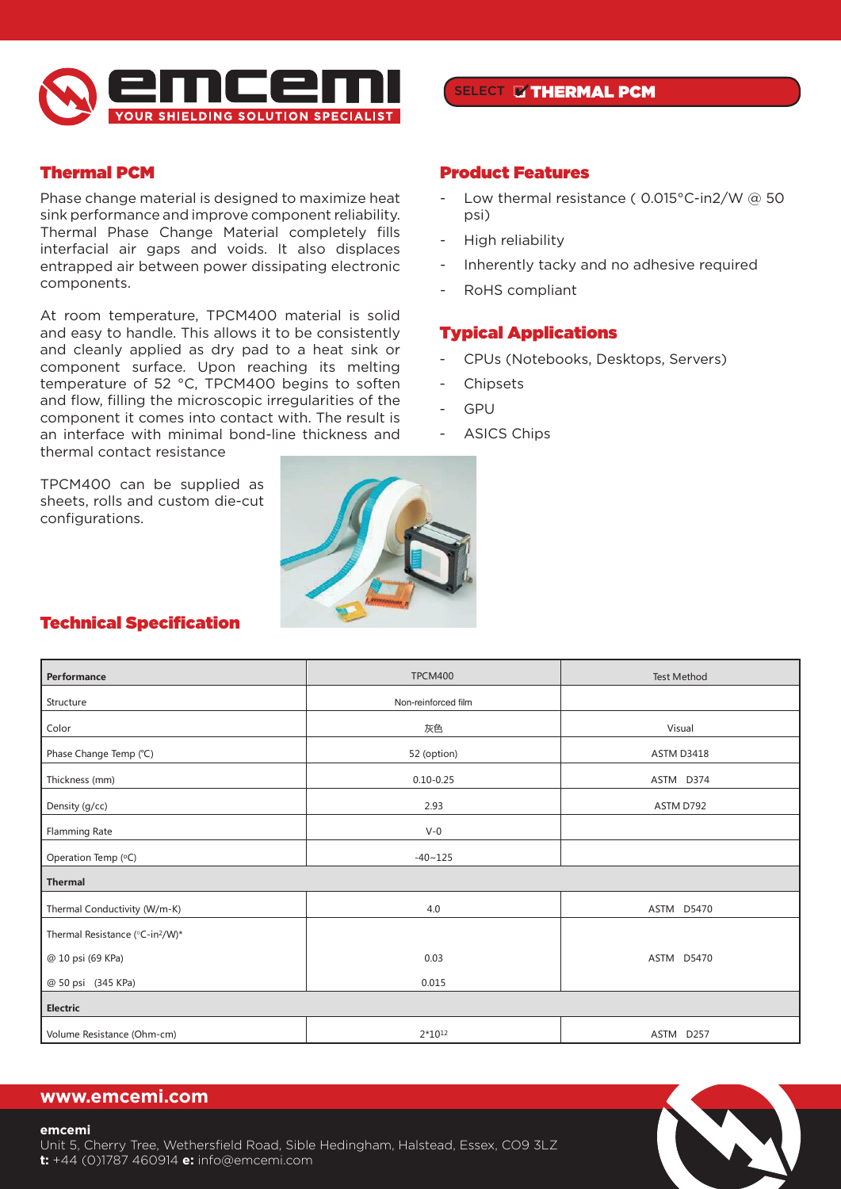

# Thermal PCM

Phase change material is designed to maximize heat sink performance and improve component reliability. Thermal Phase Change Material completely fills interfacial air gaps and voids. It also displaces entrapped air between power dissipating electronic components.

At room temperature, TPCM400 material is solid and easy to handle. This allows it to be consistently and cleanly applied as dry pad to a heat sink or component surface. Upon reaching its melting temperature of 52 °C, TPCM400 begins to soften and flow, filling the microscopic irregularities of the component it comes into contact with. The result is an interface with minimal bond-line thickness and thermal contact resistance

TPCM400 can be supplied as sheets, rolls and custom die-cut configurations.

Product Features

SELECT THERMAL PCM

- Low thermal resistance ( 0.015°C-in2/W @ 50 psi)
- High reliability
- Inherently tacky and no adhesive required
- RoHS compliant

## Typical Applications

- CPUs (Notebooks, Desktops, Servers)
- **Chipsets**
- GPU
- ASICS Chips



#### Technical Specification **Technical Specification**

| Performance                                 | TPCM400             | Test Method       |
|---------------------------------------------|---------------------|-------------------|
| Structure                                   | Non-reinforced film |                   |
| Color                                       | 灰色                  | Visual            |
| Phase Change Temp (°C)                      | 52 (option)         | <b>ASTM D3418</b> |
| Thickness (mm)                              | $0.10 - 0.25$       | ASTM D374         |
| Density (g/cc)                              | 2.93                | ASTM D792         |
| Flamming Rate                               | $V-0$               |                   |
| Operation Temp (°C)                         | $-40 - 125$         |                   |
| Thermal                                     |                     |                   |
| Thermal Conductivity (W/m-K)                | 4.0                 | ASTM D5470        |
| Thermal Resistance (°C-in <sup>2</sup> /W)* |                     |                   |
| @ 10 psi (69 KPa)                           | 0.03                | ASTM D5470        |
| @ 50 psi (345 KPa)                          | 0.015               |                   |
| Electric                                    |                     |                   |
| Volume Resistance (Ohm-cm)                  | $2*10^{12}$         | ASTM D257         |

# **www.emcemi.com**

#### **emcemi**

Unit 5, Cherry Tree, Wethersfield Road, Sible Hedingham, Halstead, Essex, CO9 3LZ **t:** +44 (0)1787 460914 **e:** info@emcemi.com

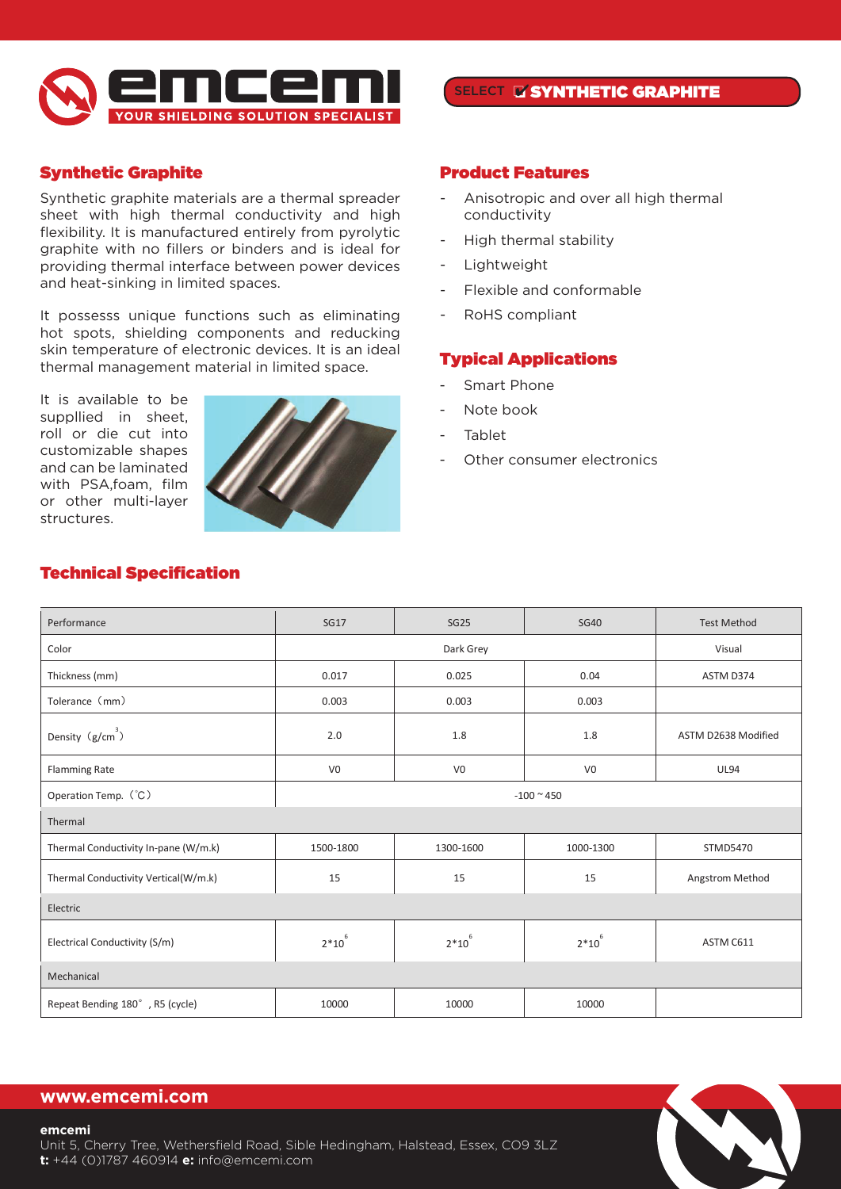

# Synthetic Graphite

Synthetic graphite materials are a thermal spreader sheet with high thermal conductivity and high flexibility. It is manufactured entirely from pyrolytic graphite with no fillers or binders and is ideal for providing thermal interface between power devices and heat-sinking in limited spaces.

It possesss unique functions such as eliminating hot spots, shielding components and reducking skin temperature of electronic devices. It is an ideal thermal management material in limited space.

It is available to be suppllied in sheet, roll or die cut into customizable shapes and can be laminated with PSA,foam, film or other multi-layer structures.



# SELECT **N'SYNTHETIC GRAPHITE**

## Product Features

- Anisotropic and over all high thermal conductivity
- High thermal stability
- Lightweight
- Flexible and conformable
- RoHS compliant

## Typical Applications

- Smart Phone Cythiatic graphite materials are a thermal spreader sheet with high thermal conductivity and high flexibility. It is manufact ured entirely
- Note book from pyrolytic graphite with no fillers and interface between power devices and heat-sinking interface between power devices and heat-sinking interface between power devices and heat-sinking in limited with the sinking in
- **Tablet** spaces.
	- Other consumer electronics

| Performance                          | <b>SG17</b>         | <b>SG25</b>    | <b>SG40</b>    | <b>Test Method</b>  |  |  |
|--------------------------------------|---------------------|----------------|----------------|---------------------|--|--|
| Color                                | Dark Grey<br>Visual |                |                |                     |  |  |
| Thickness (mm)                       | 0.017               | 0.025          | 0.04           | ASTM D374           |  |  |
| Tolerance (mm)                       | 0.003               | 0.003          | 0.003          |                     |  |  |
| Density $(g/cm^3)$                   | 2.0                 | 1.8            | 1.8            | ASTM D2638 Modified |  |  |
| Flamming Rate                        | V <sub>0</sub>      | V <sub>0</sub> | V <sub>0</sub> | <b>UL94</b>         |  |  |
| Operation Temp. (°C)<br>$-100 - 450$ |                     |                |                |                     |  |  |
| Thermal                              |                     |                |                |                     |  |  |
| Thermal Conductivity In-pane (W/m.k) | 1500-1800           | 1300-1600      | 1000-1300      | STMD5470            |  |  |
| Thermal Conductivity Vertical(W/m.k) | 15                  | 15             | 15             | Angstrom Method     |  |  |
| Electric                             |                     |                |                |                     |  |  |
| Electrical Conductivity (S/m)        | $2*10^6$            | $2*10^{6}$     | $2*10^6$       | ASTM C611           |  |  |
| Mechanical                           |                     |                |                |                     |  |  |
| Repeat Bending 180°, R5 (cycle)      | 10000               | 10000          | 10000          |                     |  |  |
|                                      |                     |                |                |                     |  |  |

#### Technical Specification **Technical Specification**

## **www.emcemi.com**